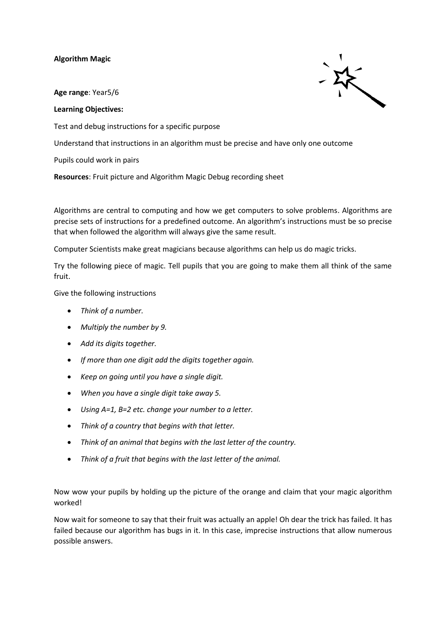## **Algorithm Magic**

**Age range**: Year5/6

## **Learning Objectives:**

Test and debug instructions for a specific purpose

Understand that instructions in an algorithm must be precise and have only one outcome

Pupils could work in pairs

**Resources**: Fruit picture and Algorithm Magic Debug recording sheet

Algorithms are central to computing and how we get computers to solve problems. Algorithms are precise sets of instructions for a predefined outcome. An algorithm's instructions must be so precise that when followed the algorithm will always give the same result.

Computer Scientists make great magicians because algorithms can help us do magic tricks.

Try the following piece of magic. Tell pupils that you are going to make them all think of the same fruit.

Give the following instructions

- *Think of a number.*
- *Multiply the number by 9.*
- *Add its digits together.*
- *If more than one digit add the digits together again.*
- *Keep on going until you have a single digit.*
- *When you have a single digit take away 5.*
- *Using A=1, B=2 etc. change your number to a letter.*
- *Think of a country that begins with that letter.*
- *Think of an animal that begins with the last letter of the country.*
- *Think of a fruit that begins with the last letter of the animal.*

Now wow your pupils by holding up the picture of the orange and claim that your magic algorithm worked!

Now wait for someone to say that their fruit was actually an apple! Oh dear the trick has failed. It has failed because our algorithm has bugs in it. In this case, imprecise instructions that allow numerous possible answers.

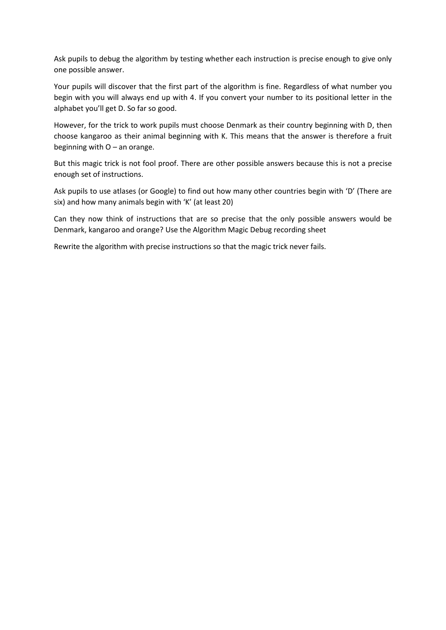Ask pupils to debug the algorithm by testing whether each instruction is precise enough to give only one possible answer.

Your pupils will discover that the first part of the algorithm is fine. Regardless of what number you begin with you will always end up with 4. If you convert your number to its positional letter in the alphabet you'll get D. So far so good.

However, for the trick to work pupils must choose Denmark as their country beginning with D, then choose kangaroo as their animal beginning with K. This means that the answer is therefore a fruit beginning with O – an orange.

But this magic trick is not fool proof. There are other possible answers because this is not a precise enough set of instructions.

Ask pupils to use atlases (or Google) to find out how many other countries begin with 'D' (There are six) and how many animals begin with 'K' (at least 20)

Can they now think of instructions that are so precise that the only possible answers would be Denmark, kangaroo and orange? Use the Algorithm Magic Debug recording sheet

Rewrite the algorithm with precise instructions so that the magic trick never fails.